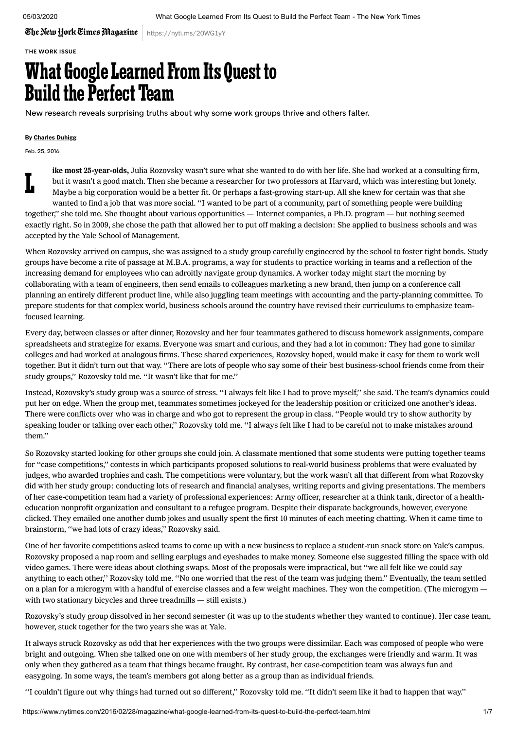The New Hork Times Magazine

https://nyti.ms/20WG1yY

**THE WORK ISSUE**

# **What Google Learned From Its Quest to Build the Perfect Team**

New research reveals surprising truths about why some work groups thrive and others falter.

# By [Charles Duhigg](http://www.nytimes.com/by/charles-duhigg)

Feb. 25, 2016

**L**

ike most 25-year-olds, Julia Rozovsky wasn't sure what she wanted to do with her life. She had worked at a consulting firm, but it wasn't a good match. Then she became a researcher for two professors at Harvard, which was interesting but lonely. Maybe a big corporation would be a better fit. Or perhaps a fast-growing start-up. All she knew for certain was that she wanted to find a job that was more social. ʻʻI wanted to be part of a community, part of something people were building

together,'' she told me. She thought about various opportunities — Internet companies, a Ph.D. program — but nothing seemed exactly right. So in 2009, she chose the path that allowed her to put off making a decision: She applied to business schools and was accepted by the Yale School of Management.

When Rozovsky arrived on campus, she was assigned to a study group carefully engineered by the school to foster tight bonds. Study groups have become a rite of passage at M.B.A. programs, a way for students to practice working in teams and a reflection of the increasing demand for employees who can adroitly navigate group dynamics. A worker today might start the morning by collaborating with a team of engineers, then send emails to colleagues marketing a new brand, then jump on a conference call planning an entirely different product line, while also juggling team meetings with accounting and the party-planning committee. To prepare students for that complex world, business schools around the country have revised their curriculums to emphasize teamfocused learning.

Every day, between classes or after dinner, Rozovsky and her four teammates gathered to discuss homework assignments, compare spreadsheets and strategize for exams. Everyone was smart and curious, and they had a lot in common: They had gone to similar colleges and had worked at analogous firms. These shared experiences, Rozovsky hoped, would make it easy for them to work well together. But it didn't turn out that way. ʻʻThere are lots of people who say some of their best business-school friends come from their study groups,'' Rozovsky told me. ʻʻIt wasn't like that for me.''

Instead, Rozovsky's study group was a source of stress. ʻʻI always felt like I had to prove myself,'' she said. The team's dynamics could put her on edge. When the group met, teammates sometimes jockeyed for the leadership position or criticized one another's ideas. There were conflicts over who was in charge and who got to represent the group in class. ʻʻPeople would try to show authority by speaking louder or talking over each other,'' Rozovsky told me. ʻʻI always felt like I had to be careful not to make mistakes around them.''

So Rozovsky started looking for other groups she could join. A classmate mentioned that some students were putting together teams for ʻʻcase competitions,'' contests in which participants proposed solutions to real-world business problems that were evaluated by judges, who awarded trophies and cash. The competitions were voluntary, but the work wasn't all that different from what Rozovsky did with her study group: conducting lots of research and financial analyses, writing reports and giving presentations. The members of her case-competition team had a variety of professional experiences: Army officer, researcher at a think tank, director of a healtheducation nonprofit organization and consultant to a refugee program. Despite their disparate backgrounds, however, everyone clicked. They emailed one another dumb jokes and usually spent the first 10 minutes of each meeting chatting. When it came time to brainstorm, ʻʻwe had lots of crazy ideas,'' Rozovsky said.

One of her favorite competitions asked teams to come up with a new business to replace a student-run snack store on Yale's campus. Rozovsky proposed a nap room and selling earplugs and eyeshades to make money. Someone else suggested filling the space with old video games. There were ideas about clothing swaps. Most of the proposals were impractical, but ʻʻwe all felt like we could say anything to each other,'' Rozovsky told me. ʻʻNo one worried that the rest of the team was judging them.'' Eventually, the team settled on a plan for a microgym with a handful of exercise classes and a few weight machines. They won the competition. (The microgym with two stationary bicycles and three treadmills — still exists.)

Rozovsky's study group dissolved in her second semester (it was up to the students whether they wanted to continue). Her case team, however, stuck together for the two years she was at Yale.

It always struck Rozovsky as odd that her experiences with the two groups were dissimilar. Each was composed of people who were bright and outgoing. When she talked one on one with members of her study group, the exchanges were friendly and warm. It was only when they gathered as a team that things became fraught. By contrast, her case-competition team was always fun and easygoing. In some ways, the team's members got along better as a group than as individual friends.

ʻʻI couldn't figure out why things had turned out so different,'' Rozovsky told me. ʻʻIt didn't seem like it had to happen that way.''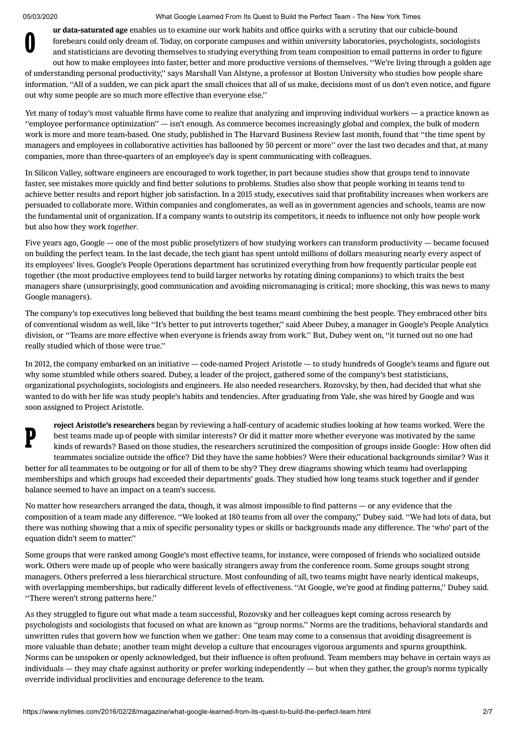**O**

05/03/2020 What Google Learned From Its Quest to Build the Perfect Team - The New York Times

ur data-saturated age enables us to examine our work habits and office quirks with a scrutiny that our cubicle-bound forebears could only dream of. Today, on corporate campuses and within university laboratories, psychologists, sociologists and statisticians are devoting themselves to studying everything from team composition to email patterns in order to figure

out how to make employees into faster, better and more productive versions of themselves. ʻʻWe're living through a golden age of understanding personal productivity,'' says Marshall Van Alstyne, a professor at Boston University who studies how people share information. ʻʻAll of a sudden, we can pick apart the small choices that all of us make, decisions most of us don't even notice, and figure out why some people are so much more effective than everyone else.''

Yet many of today's most valuable firms have come to realize that analyzing and improving individual workers — a practice known as ʻʻemployee performance optimization'' — isn't enough. As commerce becomes increasingly global and complex, the bulk of modern work is more and more team-based. One study, published in [The Harvard Business Review last month,](https://hbr.org/2016/01/collaborative-overload) found that ʻʻthe time spent by managers and employees in collaborative activities has ballooned by 50 percent or more'' over the last two decades and that, at many companies, more than three-quarters of an employee's day is spent communicating with colleagues.

In Silicon Valley, software engineers are encouraged to work together, in part because studies show that groups tend to innovate faster, see mistakes more quickly and find better solutions to problems. Studies also show that people working in teams tend to achieve better results and report higher job satisfaction. In a 2015 study, executives said that profitability increases when workers are persuaded to collaborate more. Within companies and conglomerates, as well as in government agencies and schools, teams are now the fundamental unit of organization. If a company wants to outstrip its competitors, it needs to influence not only how people work but also how they work together.

Five years ago, Google — one of the most public proselytizers of how studying workers can transform productivity — became focused on building the perfect team. In the last decade, the tech giant has spent untold millions of dollars measuring nearly every aspect of its employees' lives. Google's People Operations department has scrutinized everything from how frequently particular people eat together (the most productive employees tend to build larger networks by rotating dining companions) to which traits the best managers share (unsurprisingly, good communication and avoiding micromanaging is critical; more shocking, this was news to many Google managers).

The company's top executives long believed that building the best teams meant combining the best people. They embraced other bits of conventional wisdom as well, like ʻʻIt's better to put introverts together,'' said Abeer Dubey, a manager in Google's People Analytics division, or ʻʻTeams are more effective when everyone is friends away from work.'' But, Dubey went on, ʻʻit turned out no one had really studied which of those were true.''

In 2012, the company embarked on an initiative — code-named Project Aristotle — to study hundreds of Google's teams and figure out why some stumbled while others soared. Dubey, a leader of the project, gathered some of the company's best statisticians, organizational psychologists, sociologists and engineers. He also needed researchers. Rozovsky, by then, had decided that what she wanted to do with her life was study people's habits and tendencies. After graduating from Yale, she was hired by Google and was soon assigned to Project Aristotle.



roject Aristotle's researchers began by reviewing a half-century of academic studies looking at how teams worked. Were the best teams made up of people with similar interests? Or did it matter more whether everyone was motivated by the same kinds of rewards? Based on those studies, the researchers scrutinized the composition of groups inside Google: How often did teammates socialize outside the office? Did they have the same hobbies? Were their educational backgrounds similar? Was it

better for all teammates to be outgoing or for all of them to be shy? They drew diagrams showing which teams had overlapping memberships and which groups had exceeded their departments' goals. They studied how long teams stuck together and if gender balance seemed to have an impact on a team's success.

No matter how researchers arranged the data, though, it was almost impossible to find patterns — or any evidence that the composition of a team made any difference. ʻʻWe looked at 180 teams from all over the company,'' Dubey said. ʻʻWe had lots of data, but there was nothing showing that a mix of specific personality types or skills or backgrounds made any difference. The ʻwho' part of the equation didn't seem to matter.''

Some groups that were ranked among Google's most effective teams, for instance, were composed of friends who socialized outside work. Others were made up of people who were basically strangers away from the conference room. Some groups sought strong managers. Others preferred a less hierarchical structure. Most confounding of all, two teams might have nearly identical makeups, with overlapping memberships, but radically different levels of effectiveness. ʻʻAt Google, we're good at finding patterns,'' Dubey said. ʻʻThere weren't strong patterns here.''

As they struggled to figure out what made a team successful, Rozovsky and her colleagues kept coming across research by psychologists and sociologists that focused on what are known as ʻʻgroup norms.'' Norms are the traditions, behavioral standards and unwritten rules that govern how we function when we gather: One team may come to a consensus that avoiding disagreement is more valuable than debate; another team might develop a culture that encourages vigorous arguments and spurns groupthink. Norms can be unspoken or openly acknowledged, but their influence is often profound. Team members may behave in certain ways as individuals — they may chafe against authority or prefer working independently — but when they gather, the group's norms typically override individual proclivities and encourage deference to the team.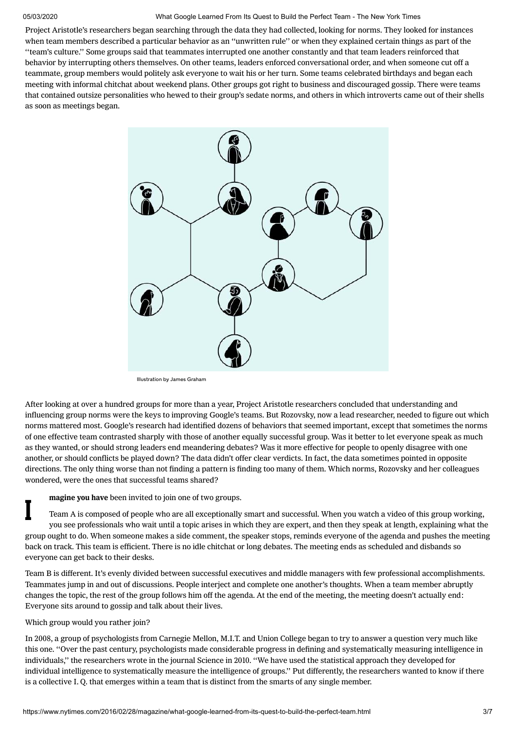### 05/03/2020 What Google Learned From Its Quest to Build the Perfect Team - The New York Times

Project Aristotle's researchers began searching through the data they had collected, looking for norms. They looked for instances when team members described a particular behavior as an ʻʻunwritten rule'' or when they explained certain things as part of the ʻʻteam's culture.'' Some groups said that teammates interrupted one another constantly and that team leaders reinforced that behavior by interrupting others themselves. On other teams, leaders enforced conversational order, and when someone cut off a teammate, group members would politely ask everyone to wait his or her turn. Some teams celebrated birthdays and began each meeting with informal chitchat about weekend plans. Other groups got right to business and discouraged gossip. There were teams that contained outsize personalities who hewed to their group's sedate norms, and others in which introverts came out of their shells as soon as meetings began.



Illustration by James Graham

After looking at over a hundred groups for more than a year, Project Aristotle researchers concluded that understanding and influencing group norms were the keys to improving Google's teams. But Rozovsky, now a lead researcher, needed to figure out which norms mattered most. Google's research had identified dozens of behaviors that seemed important, except that sometimes the norms of one effective team contrasted sharply with those of another equally successful group. Was it better to let everyone speak as much as they wanted, or should strong leaders end meandering debates? Was it more effective for people to openly disagree with one another, or should conflicts be played down? The data didn't offer clear verdicts. In fact, the data sometimes pointed in opposite directions. The only thing worse than not finding a pattern is finding too many of them. Which norms, Rozovsky and her colleagues wondered, were the ones that successful teams shared?

magine you have been invited to join one of two groups.

**I** Team A is composed of people who are all exceptionally smart and successful. When you watch a video of this group working, you see professionals who wait until a topic arises in which they are expert, and then they speak at length, explaining what the group ought to do. When someone makes a side comment, the speaker stops, reminds everyone of the agenda and pushes the meeting back on track. This team is efficient. There is no idle chitchat or long debates. The meeting ends as scheduled and disbands so everyone can get back to their desks.

Team B is different. It's evenly divided between successful executives and middle managers with few professional accomplishments. Teammates jump in and out of discussions. People interject and complete one another's thoughts. When a team member abruptly changes the topic, the rest of the group follows him off the agenda. At the end of the meeting, the meeting doesn't actually end: Everyone sits around to gossip and talk about their lives.

# Which group would you rather join?

In 2008, a group of psychologists from Carnegie Mellon, M.I.T. and Union College began to try to answer a question very much like this one. ʻʻOver the past century, psychologists made considerable progress in defining and systematically measuring intelligence in individuals,'' the researchers [wrote in the journal Science in 2010.](http://www.cs.cmu.edu/~ab/Salon/research/Woolley_et_al_Science_2010-2.pdf) ʻʻWe have used the statistical approach they developed for individual intelligence to systematically measure the intelligence of groups.'' Put differently, the researchers wanted to know if there is a collective I. Q. that emerges within a team that is distinct from the smarts of any single member.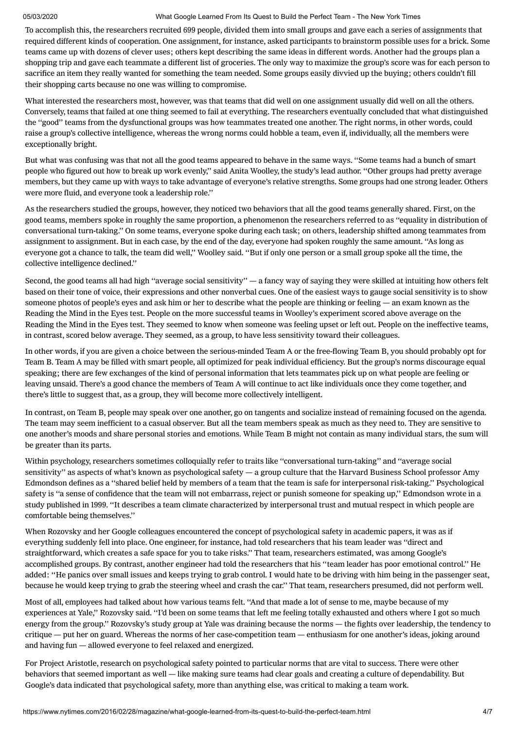# 05/03/2020 What Google Learned From Its Quest to Build the Perfect Team - The New York Times

To accomplish this, the researchers recruited 699 people, divided them into small groups and gave each a series of assignments that required different kinds of cooperation. One assignment, for instance, asked participants to brainstorm possible uses for a brick. Some teams came up with dozens of clever uses; others kept describing the same ideas in different words. Another had the groups plan a shopping trip and gave each teammate a different list of groceries. The only way to maximize the group's score was for each person to sacrifice an item they really wanted for something the team needed. Some groups easily divvied up the buying; others couldn't fill their shopping carts because no one was willing to compromise.

What interested the researchers most, however, was that teams that did well on one assignment usually did well on all the others. Conversely, teams that failed at one thing seemed to fail at everything. The researchers eventually concluded that what distinguished the ʻʻgood'' teams from the dysfunctional groups was how teammates treated one another. The right norms, in other words, could raise a group's collective intelligence, whereas the wrong norms could hobble a team, even if, individually, all the members were exceptionally bright.

But what was confusing was that not all the good teams appeared to behave in the same ways. ʻʻSome teams had a bunch of smart people who figured out how to break up work evenly,'' said Anita Woolley, the study's lead author. ʻʻOther groups had pretty average members, but they came up with ways to take advantage of everyone's relative strengths. Some groups had one strong leader. Others were more fluid, and everyone took a leadership role.''

As the researchers studied the groups, however, they noticed two behaviors that all the good teams generally shared. First, on the good teams, members spoke in roughly the same proportion, a phenomenon the researchers referred to as ʻʻequality in distribution of conversational turn-taking.'' On some teams, everyone spoke during each task; on others, leadership shifted among teammates from assignment to assignment. But in each case, by the end of the day, everyone had spoken roughly the same amount. ʻʻAs long as everyone got a chance to talk, the team did well,'' Woolley said. ʻʻBut if only one person or a small group spoke all the time, the collective intelligence declined.''

Second, the good teams all had high "average social sensitivity" — a fancy way of saying they were skilled at intuiting how others felt based on their tone of voice, their expressions and other nonverbal cues. One of the easiest ways to gauge social sensitivity is to show someone photos of people's eyes and ask him or her to describe what the people are thinking or feeling — an exam known as the Reading the Mind in the Eyes test. People on the more successful teams in Woolley's experiment scored above average on the Reading the Mind in the Eyes test. They seemed to know when someone was feeling upset or left out. People on the ineffective teams, in contrast, scored below average. They seemed, as a group, to have less sensitivity toward their colleagues.

In other words, if you are given a choice between the serious-minded Team A or the free-flowing Team B, you should probably opt for Team B. Team A may be filled with smart people, all optimized for peak individual efficiency. But the group's norms discourage equal speaking; there are few exchanges of the kind of personal information that lets teammates pick up on what people are feeling or leaving unsaid. There's a good chance the members of Team A will continue to act like individuals once they come together, and there's little to suggest that, as a group, they will become more collectively intelligent.

In contrast, on Team B, people may speak over one another, go on tangents and socialize instead of remaining focused on the agenda. The team may seem inefficient to a casual observer. But all the team members speak as much as they need to. They are sensitive to one another's moods and share personal stories and emotions. While Team B might not contain as many individual stars, the sum will be greater than its parts.

Within psychology, researchers sometimes colloquially refer to traits like ʻʻconversational turn-taking'' and ʻʻaverage social sensitivity" as aspects of what's known as psychological safety - a group culture that the Harvard Business School professor Amy Edmondson defines as a ʻʻshared belief held by members of a team that the team is safe for interpersonal risk-taking.'' Psychological safety is "a sense of confidence that the team will not embarrass, reject or punish someone for speaking up," Edmondson wrote in a study published in 1999. ʻʻIt describes a team climate characterized by interpersonal trust and mutual respect in which people are comfortable being themselves.''

When Rozovsky and her Google colleagues encountered the concept of psychological safety in academic papers, it was as if everything suddenly fell into place. One engineer, for instance, had told researchers that his team leader was ʻʻdirect and straightforward, which creates a safe space for you to take risks.'' That team, researchers estimated, was among Google's accomplished groups. By contrast, another engineer had told the researchers that his ʻʻteam leader has poor emotional control.'' He added: ʻʻHe panics over small issues and keeps trying to grab control. I would hate to be driving with him being in the passenger seat, because he would keep trying to grab the steering wheel and crash the car.'' That team, researchers presumed, did not perform well.

Most of all, employees had talked about how various teams felt. ʻʻAnd that made a lot of sense to me, maybe because of my experiences at Yale,'' Rozovsky said. ʻʻI'd been on some teams that left me feeling totally exhausted and others where I got so much energy from the group.'' Rozovsky's study group at Yale was draining because the norms — the fights over leadership, the tendency to critique — put her on guard. Whereas the norms of her case-competition team — enthusiasm for one another's ideas, joking around and having fun — allowed everyone to feel relaxed and energized.

For Project Aristotle, research on psychological safety pointed to particular norms that are vital to success. There were other behaviors that seemed important as well — like making sure teams had clear goals and creating a culture of dependability. But Google's data indicated that psychological safety, more than anything else, was critical to making a team work.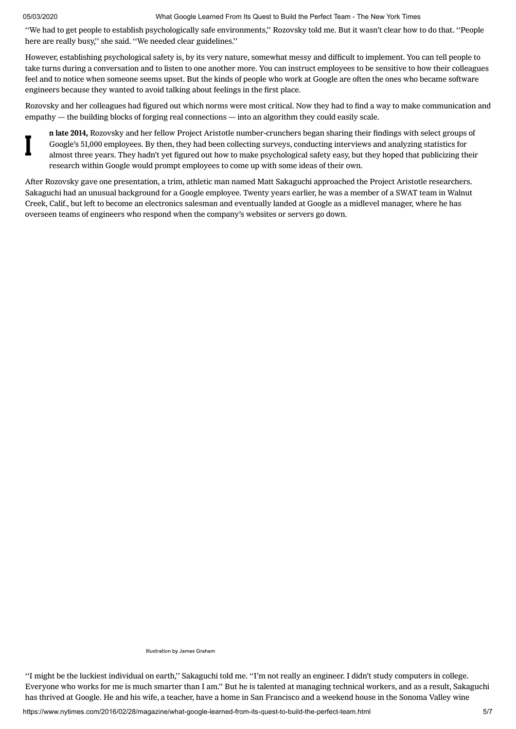**I**

05/03/2020 What Google Learned From Its Quest to Build the Perfect Team - The New York Times

ʻʻWe had to get people to establish psychologically safe environments,'' Rozovsky told me. But it wasn't clear how to do that. ʻʻPeople here are really busy,'' she said. ʻʻWe needed clear guidelines.''

However, establishing psychological safety is, by its very nature, somewhat messy and difficult to implement. You can tell people to take turns during a conversation and to listen to one another more. You can instruct employees to be sensitive to how their colleagues feel and to notice when someone seems upset. But the kinds of people who work at Google are often the ones who became software engineers because they wanted to avoid talking about feelings in the first place.

Rozovsky and her colleagues had figured out which norms were most critical. Now they had to find a way to make communication and empathy — the building blocks of forging real connections — into an algorithm they could easily scale.

n late 2014, Rozovsky and her fellow Project Aristotle number-crunchers began sharing their findings with select groups of Google's 51,000 employees. By then, they had been collecting surveys, conducting interviews and analyzing statistics for almost three years. They hadn't yet figured out how to make psychological safety easy, but they hoped that publicizing their research within Google would prompt employees to come up with some ideas of their own.

After Rozovsky gave one presentation, a trim, athletic man named Matt Sakaguchi approached the Project Aristotle researchers. Sakaguchi had an unusual background for a Google employee. Twenty years earlier, he was a member of a SWAT team in Walnut Creek, Calif., but left to become an electronics salesman and eventually landed at Google as a midlevel manager, where he has overseen teams of engineers who respond when the company's websites or servers go down.

Illustration by James Graham

ʻʻI might be the luckiest individual on earth,'' Sakaguchi told me. ʻʻI'm not really an engineer. I didn't study computers in college. Everyone who works for me is much smarter than I am.'' But he is talented at managing technical workers, and as a result, Sakaguchi has thrived at Google. He and his wife, a teacher, have a home in San Francisco and a weekend house in the Sonoma Valley wine

https://www.nytimes.com/2016/02/28/magazine/what-google-learned-from-its-quest-to-build-the-perfect-team.html 5/7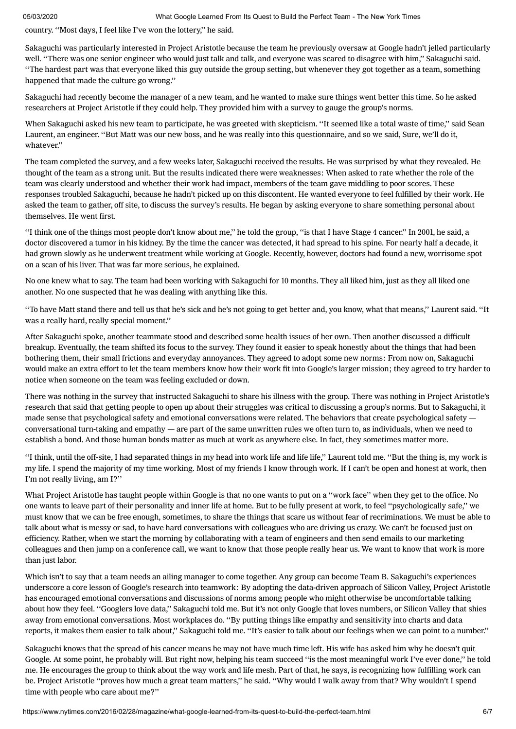country. ʻʻMost days, I feel like I've won the lottery,'' he said.

Sakaguchi was particularly interested in Project Aristotle because the team he previously oversaw at Google hadn't jelled particularly well. ʻʻThere was one senior engineer who would just talk and talk, and everyone was scared to disagree with him,'' Sakaguchi said. ʻʻThe hardest part was that everyone liked this guy outside the group setting, but whenever they got together as a team, something happened that made the culture go wrong.''

Sakaguchi had recently become the manager of a new team, and he wanted to make sure things went better this time. So he asked researchers at Project Aristotle if they could help. They provided him with a survey to gauge the group's norms.

When Sakaguchi asked his new team to participate, he was greeted with skepticism. ʻʻIt seemed like a total waste of time,'' said Sean Laurent, an engineer. ʻʻBut Matt was our new boss, and he was really into this questionnaire, and so we said, Sure, we'll do it, whatever.''

The team completed the survey, and a few weeks later, Sakaguchi received the results. He was surprised by what they revealed. He thought of the team as a strong unit. But the results indicated there were weaknesses: When asked to rate whether the role of the team was clearly understood and whether their work had impact, members of the team gave middling to poor scores. These responses troubled Sakaguchi, because he hadn't picked up on this discontent. He wanted everyone to feel fulfilled by their work. He asked the team to gather, off site, to discuss the survey's results. He began by asking everyone to share something personal about themselves. He went first.

ʻʻI think one of the things most people don't know about me,'' he told the group, ʻʻis that I have Stage 4 cancer.'' In 2001, he said, a doctor discovered a tumor in his kidney. By the time the cancer was detected, it had spread to his spine. For nearly half a decade, it had grown slowly as he underwent treatment while working at Google. Recently, however, doctors had found a new, worrisome spot on a scan of his liver. That was far more serious, he explained.

No one knew what to say. The team had been working with Sakaguchi for 10 months. They all liked him, just as they all liked one another. No one suspected that he was dealing with anything like this.

ʻʻTo have Matt stand there and tell us that he's sick and he's not going to get better and, you know, what that means,'' Laurent said. ʻʻIt was a really hard, really special moment.''

After Sakaguchi spoke, another teammate stood and described some health issues of her own. Then another discussed a difficult breakup. Eventually, the team shifted its focus to the survey. They found it easier to speak honestly about the things that had been bothering them, their small frictions and everyday annoyances. They agreed to adopt some new norms: From now on, Sakaguchi would make an extra effort to let the team members know how their work fit into Google's larger mission; they agreed to try harder to notice when someone on the team was feeling excluded or down.

There was nothing in the survey that instructed Sakaguchi to share his illness with the group. There was nothing in Project Aristotle's research that said that getting people to open up about their struggles was critical to discussing a group's norms. But to Sakaguchi, it made sense that psychological safety and emotional conversations were related. The behaviors that create psychological safety conversational turn-taking and empathy — are part of the same unwritten rules we often turn to, as individuals, when we need to establish a bond. And those human bonds matter as much at work as anywhere else. In fact, they sometimes matter more.

ʻʻI think, until the off-site, I had separated things in my head into work life and life life,'' Laurent told me. ʻʻBut the thing is, my work is my life. I spend the majority of my time working. Most of my friends I know through work. If I can't be open and honest at work, then I'm not really living, am I?''

What Project Aristotle has taught people within Google is that no one wants to put on a "work face" when they get to the office. No one wants to leave part of their personality and inner life at home. But to be fully present at work, to feel ʻʻpsychologically safe,'' we must know that we can be free enough, sometimes, to share the things that scare us without fear of recriminations. We must be able to talk about what is messy or sad, to have hard conversations with colleagues who are driving us crazy. We can't be focused just on efficiency. Rather, when we start the morning by collaborating with a team of engineers and then send emails to our marketing colleagues and then jump on a conference call, we want to know that those people really hear us. We want to know that work is more than just labor.

Which isn't to say that a team needs an ailing manager to come together. Any group can become Team B. Sakaguchi's experiences underscore a core lesson of Google's research into teamwork: By adopting the data-driven approach of Silicon Valley, Project Aristotle has encouraged emotional conversations and discussions of norms among people who might otherwise be uncomfortable talking about how they feel. ʻʻGooglers love data,'' Sakaguchi told me. But it's not only Google that loves numbers, or Silicon Valley that shies away from emotional conversations. Most workplaces do. "By putting things like empathy and sensitivity into charts and data reports, it makes them easier to talk about,'' Sakaguchi told me. ʻʻIt's easier to talk about our feelings when we can point to a number.''

Sakaguchi knows that the spread of his cancer means he may not have much time left. His wife has asked him why he doesn't quit Google. At some point, he probably will. But right now, helping his team succeed ʻʻis the most meaningful work I've ever done,'' he told me. He encourages the group to think about the way work and life mesh. Part of that, he says, is recognizing how fulfilling work can be. Project Aristotle ʻʻproves how much a great team matters,'' he said. ʻʻWhy would I walk away from that? Why wouldn't I spend time with people who care about me?''